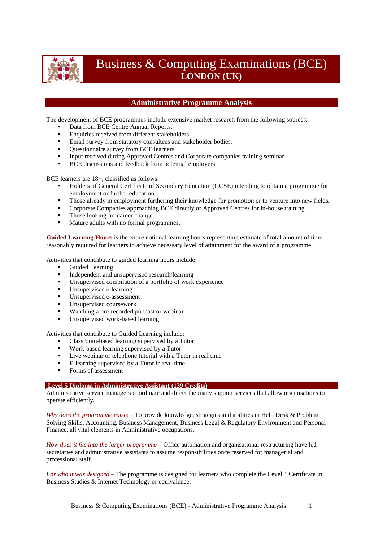

# Business & Computing Examinations (BCE) **LONDON (UK)**

## **Administrative Programme Analysis**

The development of BCE programmes include extensive market research from the following sources:

- Data from BCE Centre Annual Reports.
- Enquiries received from different stakeholders.
- **Email survey from statutory consultees and stakeholder bodies.**
- Questionnaire survey from BCE learners.
- Input received during Approved Centres and Corporate companies training seminar.
- BCE discussions and feedback from potential employers.

BCE learners are 18+, classified as follows:

- Holders of General Certificate of Secondary Education (GCSE) intending to obtain a programme for employment or further education.
- Those already in employment furthering their knowledge for promotion or to venture into new fields.
- **Corporate Companies approaching BCE directly or Approved Centres for in-house training.**
- Those looking for career change.
- Mature adults with no formal programmes.

**Guided Learning Hours** is the entire notional learning hours representing estimate of total amount of time reasonably required for learners to achieve necessary level of attainment for the award of a programme.

Activities that contribute to guided learning hours include:

- Guided Learning
- **Independent and unsupervised research/learning**
- Unsupervised compilation of a portfolio of work experience
- Unsupervised e-learning
- Unsupervised e-assessment
- Unsupervised coursework
- Watching a pre-recorded podcast or webinar
- Unsupervised work-based learning

Activities that contribute to Guided Learning include:

- Classroom-based learning supervised by a Tutor
- Work-based learning supervised by a Tutor
- Live webinar or telephone tutorial with a Tutor in real time
- E-learning supervised by a Tutor in real time
- Forms of assessment

### **Level 5 Diploma in Administrative Assistant (139 Credits)**

Administrative service managers coordinate and direct the many support services that allow organisations to operate efficiently.

*Why does the programme exists* – To provide knowledge, strategies and abilities in Help Desk & Problem Solving Skills, Accounting, Business Management, Business Legal & Regulatory Environment and Personal Finance, all vital elements in Administrative occupations.

*How does it fits into the larger programme* – Office automation and organisational restructuring have led secretaries and administrative assistants to assume responsibilities once reserved for managerial and professional staff.

*For who it was designed* – The programme is designed for learners who complete the Level 4 Certificate in Business Studies & Internet Technology or equivalence.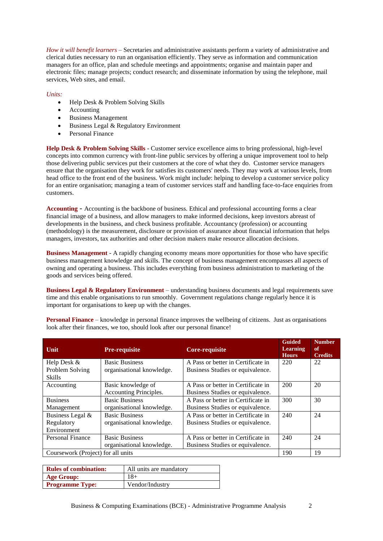*How it will benefit learners* – Secretaries and administrative assistants perform a variety of administrative and clerical duties necessary to run an organisation efficiently. They serve as information and communication managers for an office, plan and schedule meetings and appointments; organise and maintain paper and electronic files; manage projects; conduct research; and disseminate information by using the telephone, mail services, Web sites, and email.

#### *Units:*

- $\bullet$  Help Desk & Problem Solving Skills
- Accounting
- Business Management
- Business Legal & Regulatory Environment
- Personal Finance

**Help Desk & Problem Solving Skills** - Customer service excellence aims to bring professional, high-level concepts into common currency with front-line public services by offering a unique improvement tool to help those delivering public services put their customers at the core of what they do. Customer service managers ensure that the organisation they work for satisfies its customers' needs. They may work at various levels, from head office to the front end of the business. Work might include: helping to develop a customer service policy for an entire organisation; managing a team of customer services staff and handling face-to-face enquiries from customers.

**Accounting** - Accounting is the backbone of business. Ethical and professional accounting forms a clear financial image of a business, and allow managers to make informed decisions, keep investors abreast of developments in the business, and check business profitable. Accountancy (profession) or accounting (methodology) is the measurement, disclosure or provision of assurance about financial information that helps managers, investors, tax authorities and other decision makers make resource allocation decisions.

**Business Management** - A rapidly changing economy means more opportunities for those who have specific business management knowledge and skills. The concept of business management encompasses all aspects of owning and operating a business. This includes everything from business administration to marketing of the goods and services being offered.

**Business Legal & Regulatory Environment** – understanding business documents and legal requirements save time and this enable organisations to run smoothly. Government regulations change regularly hence it is important for organisations to keep up with the changes.

| Unit                               | <b>Pre-requisite</b>      | <b>Core-requisite</b>              | <b>Guided</b><br><b>Learning</b><br><b>Hours</b> | <b>Number</b><br>of<br><b>Credits</b> |
|------------------------------------|---------------------------|------------------------------------|--------------------------------------------------|---------------------------------------|
| Help Desk &                        | <b>Basic Business</b>     | A Pass or better in Certificate in | 220                                              | 22                                    |
| Problem Solving                    | organisational knowledge. | Business Studies or equivalence.   |                                                  |                                       |
| <b>Skills</b>                      |                           |                                    |                                                  |                                       |
| Accounting                         | Basic knowledge of        | A Pass or better in Certificate in | 200                                              | 20                                    |
|                                    | Accounting Principles.    | Business Studies or equivalence.   |                                                  |                                       |
| <b>Business</b>                    | <b>Basic Business</b>     | A Pass or better in Certificate in | 300                                              | 30                                    |
| Management                         | organisational knowledge. | Business Studies or equivalence.   |                                                  |                                       |
| Business Legal &                   | <b>Basic Business</b>     | A Pass or better in Certificate in | 240                                              | 24                                    |
| Regulatory                         | organisational knowledge. | Business Studies or equivalence.   |                                                  |                                       |
| Environment                        |                           |                                    |                                                  |                                       |
| Personal Finance                   | <b>Basic Business</b>     | A Pass or better in Certificate in | 240                                              | 24                                    |
|                                    | organisational knowledge. | Business Studies or equivalence.   |                                                  |                                       |
| Coursework (Project) for all units |                           |                                    | 190                                              | 19                                    |

**Personal Finance** – knowledge in personal finance improves the wellbeing of citizens. Just as organisations look after their finances, we too, should look after our personal finance!

| <b>Rules of combination:</b> | All units are mandatory |
|------------------------------|-------------------------|
| <b>Age Group:</b>            | 18+                     |
| <b>Programme Type:</b>       | Vendor/Industry         |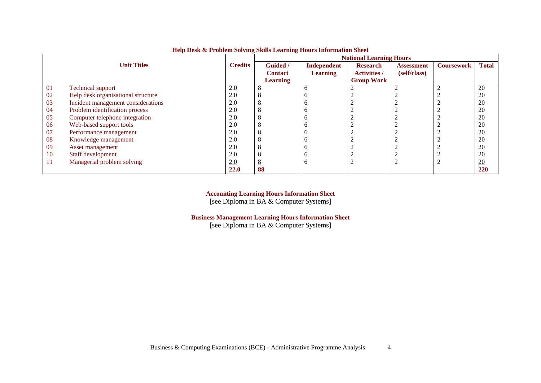|    |                                    |                |                 |                 | <b>Notional Learning Hours</b> |                   |                   |                  |  |  |  |  |
|----|------------------------------------|----------------|-----------------|-----------------|--------------------------------|-------------------|-------------------|------------------|--|--|--|--|
|    | <b>Unit Titles</b>                 | <b>Credits</b> | Guided /        | Independent     | <b>Research</b>                | <b>Assessment</b> | <b>Coursework</b> | <b>Total</b>     |  |  |  |  |
|    |                                    |                | <b>Contact</b>  | <b>Learning</b> | <b>Activities /</b>            | (self/class)      |                   |                  |  |  |  |  |
|    |                                    |                | <b>Learning</b> |                 | <b>Group Work</b>              |                   |                   |                  |  |  |  |  |
| 01 | <b>Technical support</b>           | 2.0            | 8               | <sub>b</sub>    |                                |                   |                   | 20               |  |  |  |  |
| 02 | Help desk organisational structure | 2.0            | - 8             |                 |                                |                   |                   | 20               |  |  |  |  |
| 03 | Incident management considerations | 2.0            | 8               |                 |                                |                   |                   | 20               |  |  |  |  |
| 04 | Problem identification process     | 2.0            | 8               |                 |                                |                   |                   | 20               |  |  |  |  |
| 05 | Computer telephone integration     | 2.0            | 8               |                 |                                |                   |                   | 20               |  |  |  |  |
| 06 | Web-based support tools            | 2.0            | ◠               |                 |                                |                   |                   | 20               |  |  |  |  |
| 07 | Performance management             | 2.0            | 8               |                 |                                |                   |                   | 20               |  |  |  |  |
| 08 | Knowledge management               | 2.0            | - 8             |                 |                                |                   |                   | 20               |  |  |  |  |
| 09 | Asset management                   | 2.0            | 8               |                 |                                |                   |                   | 20               |  |  |  |  |
| 10 | Staff development                  | 2.0            | ◠               |                 | $\sim$                         |                   |                   | 20               |  |  |  |  |
| 11 | Managerial problem solving         | 2.0            | $8\overline{6}$ |                 | ◠<br>∠                         |                   |                   | $\underline{20}$ |  |  |  |  |
|    |                                    | <b>22.0</b>    | 88              |                 |                                |                   |                   | 220              |  |  |  |  |

### **Help Desk & Problem Solving Skills Learning Hours Information Sheet**

**Accounting Learning Hours Information Sheet**

[see Diploma in BA & Computer Systems]

**Business Management Learning Hours Information Sheet**

[see Diploma in BA & Computer Systems]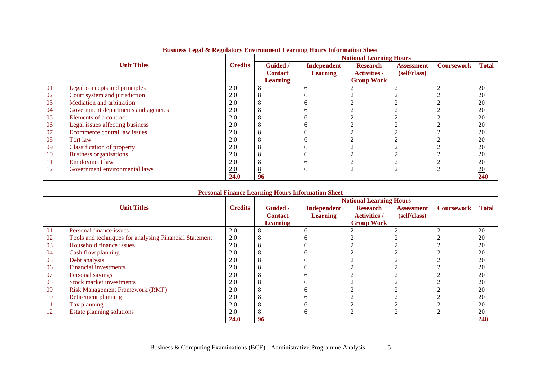|    |                                     |                |                 |                 | <b>Notional Learning Hours</b> |                   |                   |                  |
|----|-------------------------------------|----------------|-----------------|-----------------|--------------------------------|-------------------|-------------------|------------------|
|    | <b>Unit Titles</b>                  | <b>Credits</b> | <b>Guided</b> / | Independent     | <b>Research</b>                | <b>Assessment</b> | <b>Coursework</b> | <b>Total</b>     |
|    |                                     |                | <b>Contact</b>  | <b>Learning</b> | <b>Activities /</b>            | (self/class)      |                   |                  |
|    |                                     |                | <b>Learning</b> |                 | <b>Group Work</b>              |                   |                   |                  |
| 01 | Legal concepts and principles       | 2.0            |                 | b               |                                |                   |                   | 20               |
| 02 | Court system and jurisdiction       | 2.0            |                 | n               |                                |                   |                   | 20               |
| 03 | Mediation and arbitration           | 2.0            |                 | o               |                                |                   |                   | 20               |
| 04 | Government departments and agencies | 2.0            |                 | n               |                                |                   |                   | 20               |
| 05 | Elements of a contract              | 2.0            |                 | n               |                                |                   |                   | 20               |
| 06 | Legal issues affecting business     | 2.0            |                 | n               |                                |                   |                   | 20               |
| 07 | Ecommerce contral law issues        | 2.0            |                 |                 |                                |                   |                   | 20               |
| 08 | Tort law                            | 2.0            |                 | n               |                                |                   |                   | 20               |
| 09 | <b>Classification of property</b>   | 2.0            |                 | n               |                                |                   |                   | 20               |
| 10 | Business organisations              | 2.0            |                 | n               |                                |                   |                   | 20               |
| 11 | <b>Employment</b> law               | 2.0            |                 | n               |                                |                   |                   | 20               |
| 12 | Government environmental laws       | 2.0            | ŏ               | o               |                                |                   |                   | $\underline{20}$ |
|    |                                     | <b>24.0</b>    | 96              |                 |                                |                   |                   | 240              |

# **Business Legal & Regulatory Environment Learning Hours Information Sheet**

### **Personal Finance Learning Hours Information Sheet**

|    |                                                        |                |                 |                 | <b>Notional Learning Hours</b> |                   |                   |                  |
|----|--------------------------------------------------------|----------------|-----------------|-----------------|--------------------------------|-------------------|-------------------|------------------|
|    | <b>Unit Titles</b>                                     | <b>Credits</b> | <b>Guided</b> / | Independent     | <b>Research</b>                | <b>Assessment</b> | <b>Coursework</b> | <b>Total</b>     |
|    |                                                        |                | <b>Contact</b>  | <b>Learning</b> | <b>Activities /</b>            | (self/class)      |                   |                  |
|    |                                                        |                | <b>Learning</b> |                 | <b>Group Work</b>              |                   |                   |                  |
| 01 | Personal finance issues                                | 2.0            |                 | h               | ി                              |                   |                   | 20               |
| 02 | Tools and techniques for analysing Financial Statement | 2.0            |                 |                 |                                |                   |                   | 20               |
| 03 | Household finance issues                               | 2.0            |                 | n               |                                |                   |                   | 20               |
| 04 | Cash flow planning                                     | 2.0            |                 |                 |                                |                   |                   | 20               |
| 05 | Debt analysis                                          | 2.0            |                 |                 |                                |                   |                   | 20               |
| 06 | Financial investments                                  | 2.0            |                 | n               |                                |                   |                   | 20               |
| 07 | Personal savings                                       | 2.0            |                 |                 |                                |                   |                   | 20               |
| 08 | Stock market investments                               | 2.0            |                 | n               |                                |                   |                   | 20               |
| 09 | <b>Risk Management Framework (RMF)</b>                 | 2.0            |                 | n               |                                |                   |                   | 20               |
| 10 | Retirement planning                                    | 2.0            |                 |                 |                                |                   |                   | 20               |
| 11 | Tax planning                                           | 2.0            |                 | n               |                                |                   |                   | 20               |
| 12 | Estate planning solutions                              | 2.0            |                 | h               | ∠                              |                   |                   | $\underline{20}$ |
|    |                                                        | 24.0           | 96              |                 |                                |                   |                   | 240              |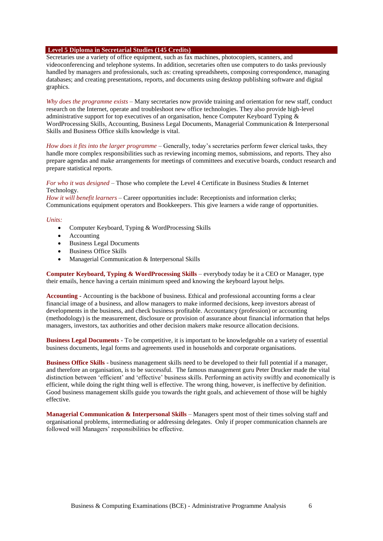#### **Level 5 Diploma in Secretarial Studies (145 Credits)**

Secretaries use a variety of office equipment, such as fax machines, photocopiers, scanners, and videoconferencing and telephone systems. In addition, secretaries often use computers to do tasks previously handled by managers and professionals, such as: creating spreadsheets, composing correspondence, managing databases; and creating presentations, reports, and documents using desktop publishing software and digital graphics.

*Why does the programme exists* – Many secretaries now provide training and orientation for new staff, conduct research on the Internet, operate and troubleshoot new office technologies. They also provide high-level administrative support for top executives of an organisation, hence Computer Keyboard Typing & WordProcessing Skills, Accounting, Business Legal Documents, Managerial Communication & Interpersonal Skills and Business Office skills knowledge is vital.

*How does it fits into the larger programme* – Generally, today's secretaries perform fewer clerical tasks, they handle more complex responsibilities such as reviewing incoming memos, submissions, and reports. They also prepare agendas and make arrangements for meetings of committees and executive boards, conduct research and prepare statistical reports.

#### *For who it was designed* – Those who complete the Level 4 Certificate in Business Studies & Internet Technology.

*How it will benefit learners* – Career opportunities include: Receptionists and information clerks; Communications equipment operators and Bookkeepers. This give learners a wide range of opportunities.

#### *Units:*

- Computer Keyboard, Typing & WordProcessing Skills
- Accounting
- Business Legal Documents
- Business Office Skills
- Managerial Communication & Interpersonal Skills

**Computer Keyboard, Typing & WordProcessing Skills** – everybody today be it a CEO or Manager, type their emails, hence having a certain minimum speed and knowing the keyboard layout helps.

**Accounting** - Accounting is the backbone of business. Ethical and professional accounting forms a clear financial image of a business, and allow managers to make informed decisions, keep investors abreast of developments in the business, and check business profitable. Accountancy (profession) or accounting (methodology) is the measurement, disclosure or provision of assurance about financial information that helps managers, investors, tax authorities and other decision makers make resource allocation decisions.

**Business Legal Documents** - To be competitive, it is important to be knowledgeable on a variety of essential business documents, legal forms and agreements used in households and corporate organisations.

**Business Office Skills** - business management skills need to be developed to their full potential if a manager, and therefore an organisation, is to be successful. The famous management guru Peter Drucker made the vital distinction between 'efficient' and 'effective' business skills. Performing an activity swiftly and economically is efficient, while doing the right thing well is effective. The wrong thing, however, is ineffective by definition. Good business management skills guide you towards the right goals, and achievement of those will be highly effective.

**Managerial Communication & Interpersonal Skills** – Managers spent most of their times solving staff and organisational problems, intermediating or addressing delegates. Only if proper communication channels are followed will Managers' responsibilities be effective.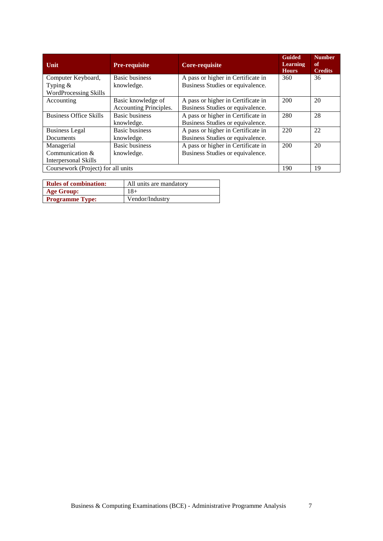| Unit                               | <b>Pre-requisite</b>   | Core-requisite                     | <b>Guided</b><br><b>Learning</b><br><b>Hours</b> | <b>Number</b><br>of<br><b>Credits</b> |
|------------------------------------|------------------------|------------------------------------|--------------------------------------------------|---------------------------------------|
| Computer Keyboard,                 | <b>Basic business</b>  | A pass or higher in Certificate in | 360                                              | 36                                    |
| Typing $&$                         | knowledge.             | Business Studies or equivalence.   |                                                  |                                       |
| <b>WordProcessing Skills</b>       |                        |                                    |                                                  |                                       |
| Accounting                         | Basic knowledge of     | A pass or higher in Certificate in | 200                                              | 20                                    |
|                                    | Accounting Principles. | Business Studies or equivalence.   |                                                  |                                       |
| <b>Business Office Skills</b>      | <b>Basic business</b>  | A pass or higher in Certificate in | 280                                              | 28                                    |
|                                    | knowledge.             | Business Studies or equivalence.   |                                                  |                                       |
| <b>Business Legal</b>              | <b>Basic business</b>  | A pass or higher in Certificate in | 220                                              | 22                                    |
| Documents                          | knowledge.             | Business Studies or equivalence.   |                                                  |                                       |
| Managerial                         | <b>Basic business</b>  | A pass or higher in Certificate in | 200                                              | 20                                    |
| Communication &                    | knowledge.             | Business Studies or equivalence.   |                                                  |                                       |
| Interpersonal Skills               |                        |                                    |                                                  |                                       |
| Coursework (Project) for all units |                        |                                    | 190                                              | 19                                    |

| <b>Rules of combination:</b> | All units are mandatory |
|------------------------------|-------------------------|
| <b>Age Group:</b>            | $18+$                   |
| <b>Programme Type:</b>       | Vendor/Industry         |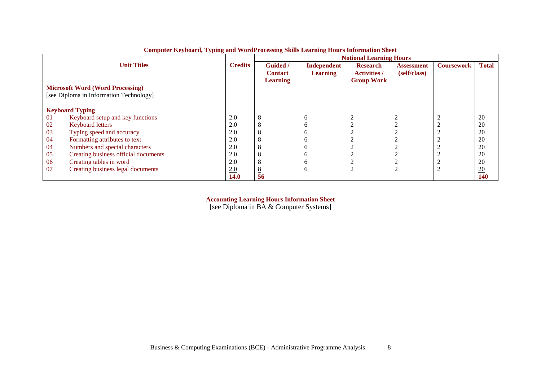|    |                                         |                |                 |                 | <b>Notional Learning Hours</b> |                   |                   |                  |
|----|-----------------------------------------|----------------|-----------------|-----------------|--------------------------------|-------------------|-------------------|------------------|
|    | <b>Unit Titles</b>                      | <b>Credits</b> | <b>Guided</b> / | Independent     | <b>Research</b>                | <b>Assessment</b> | <b>Coursework</b> | <b>Total</b>     |
|    |                                         |                | <b>Contact</b>  | <b>Learning</b> | <b>Activities /</b>            | (self/class)      |                   |                  |
|    |                                         |                | <b>Learning</b> |                 | <b>Group Work</b>              |                   |                   |                  |
|    | <b>Microsoft Word (Word Processing)</b> |                |                 |                 |                                |                   |                   |                  |
|    | [see Diploma in Information Technology] |                |                 |                 |                                |                   |                   |                  |
|    |                                         |                |                 |                 |                                |                   |                   |                  |
|    | <b>Keyboard Typing</b>                  |                |                 |                 |                                |                   |                   |                  |
| 01 | Keyboard setup and key functions        | 2.0            |                 | $\sigma$        | 2                              |                   |                   | 20               |
| 02 | <b>Keyboard letters</b>                 | 2.0            |                 | h               | $\bigcap$                      |                   |                   | 20               |
| 03 | Typing speed and accuracy               | 2.0            |                 |                 | ◠                              |                   |                   | 20               |
| 04 | Formatting attributes to text           | 2.0            |                 | n               | ◠<br>∠                         |                   |                   | 20               |
| 04 | Numbers and special characters          | 2.0            |                 | n               | ∠                              |                   |                   | 20               |
| 05 | Creating business official documents    | 2.0            |                 |                 | ∠                              | ⌒                 |                   | 20               |
| 06 | Creating tables in word                 | 2.0            |                 | n               | ◠<br>∠                         |                   |                   | 20               |
| 07 | Creating business legal documents       | 2.0            |                 | h               | $\overline{2}$                 | ◠                 |                   | $\underline{20}$ |
|    |                                         | <b>14.0</b>    | 56              |                 |                                |                   |                   | 140              |

**Computer Keyboard, Typing and WordProcessing Skills Learning Hours Information Sheet**

**Accounting Learning Hours Information Sheet**

[see Diploma in BA & Computer Systems]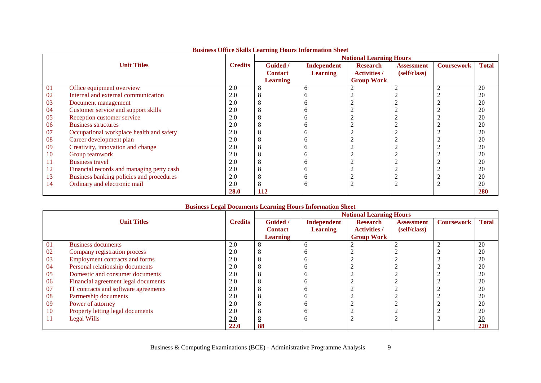|    |                                           |                |                 | Dashiros Office Sanns Dearning Hours millet ination shee | <b>Notional Learning Hours</b> |                   |                   |                  |
|----|-------------------------------------------|----------------|-----------------|----------------------------------------------------------|--------------------------------|-------------------|-------------------|------------------|
|    | <b>Unit Titles</b>                        | <b>Credits</b> | <b>Guided</b> / | Independent                                              | <b>Research</b>                | <b>Assessment</b> | <b>Coursework</b> | <b>Total</b>     |
|    |                                           |                | <b>Contact</b>  | <b>Learning</b>                                          | <b>Activities /</b>            | (self/class)      |                   |                  |
|    |                                           |                | <b>Learning</b> |                                                          | <b>Group Work</b>              |                   |                   |                  |
| 01 | Office equipment overview                 | 2.0            |                 | h                                                        |                                |                   |                   | 20               |
| 02 | Internal and external communication       | 2.0            |                 |                                                          |                                |                   |                   | 20               |
| 03 | Document management                       | 2.0            |                 | n                                                        |                                |                   |                   | 20               |
| 04 | Customer service and support skills       | 2.0            |                 | n                                                        |                                |                   |                   | 20               |
| 05 | Reception customer service                | 2.0            |                 | n                                                        |                                |                   |                   | 20               |
| 06 | <b>Business structures</b>                | 2.0            |                 | n                                                        |                                |                   |                   | 20               |
| 07 | Occupational workplace health and safety  | 2.0            |                 |                                                          |                                |                   |                   | 20               |
| 08 | Career development plan                   | 2.0            |                 | n                                                        |                                |                   |                   | 20               |
| 09 | Creativity, innovation and change         | 2.0            |                 | n                                                        |                                |                   |                   | 20               |
| 10 | Group teamwork                            | 2.0            |                 | n                                                        |                                |                   |                   | 20               |
| 11 | <b>Business travel</b>                    | 2.0            |                 |                                                          |                                |                   |                   | 20               |
| 12 | Financial records and managing petty cash | 2.0            |                 |                                                          |                                |                   |                   | 20               |
| 13 | Business banking policies and procedures  | 2.0            |                 | n                                                        |                                |                   |                   | 20               |
| 14 | Ordinary and electronic mail              | 2.0            |                 | b                                                        |                                |                   |                   | $\underline{20}$ |
|    |                                           | <b>28.0</b>    | <b>112</b>      |                                                          |                                |                   |                   | 280              |

# **Business Office Skills Learning Hours Information Sheet**

## **Business Legal Documents Learning Hours Information Sheet**

|    |                                      |                |                 |                 | <b>Notional Learning Hours</b> |                   |                   |              |
|----|--------------------------------------|----------------|-----------------|-----------------|--------------------------------|-------------------|-------------------|--------------|
|    | <b>Unit Titles</b>                   | <b>Credits</b> | <b>Guided</b> / | Independent     | <b>Research</b>                | <b>Assessment</b> | <b>Coursework</b> | <b>Total</b> |
|    |                                      |                | <b>Contact</b>  | <b>Learning</b> | <b>Activities /</b>            | (self/class)      |                   |              |
|    |                                      |                | <b>Learning</b> |                 | <b>Group Work</b>              |                   |                   |              |
| 01 | <b>Business documents</b>            | 2.0            |                 | h               |                                |                   |                   | 20           |
| 02 | Company registration process         | 2.0            |                 |                 |                                |                   |                   | 20           |
| 03 | Employment contracts and forms       | 2.0            |                 |                 |                                |                   |                   | 20           |
| 04 | Personal relationship documents      | 2.0            |                 |                 |                                |                   |                   | 20           |
| 05 | Domestic and consumer documents      | 2.0            |                 |                 |                                |                   |                   | 20           |
| 06 | Financial agreement legal documents  | 2.0            |                 |                 |                                |                   |                   | 20           |
| 07 | IT contracts and software agreements | 2.0            |                 |                 |                                |                   |                   | 20           |
| 08 | Partnership documents                | 2.0            |                 |                 |                                |                   |                   | 20           |
| 09 | Power of attorney                    | 2.0            |                 |                 |                                |                   |                   | 20           |
| 10 | Property letting legal documents     | 2.0            |                 |                 |                                |                   |                   | 20           |
| 11 | Legal Wills                          | 2.0            |                 | n               |                                |                   |                   | 20           |
|    |                                      | 22.0           | 88              |                 |                                |                   |                   | 220          |